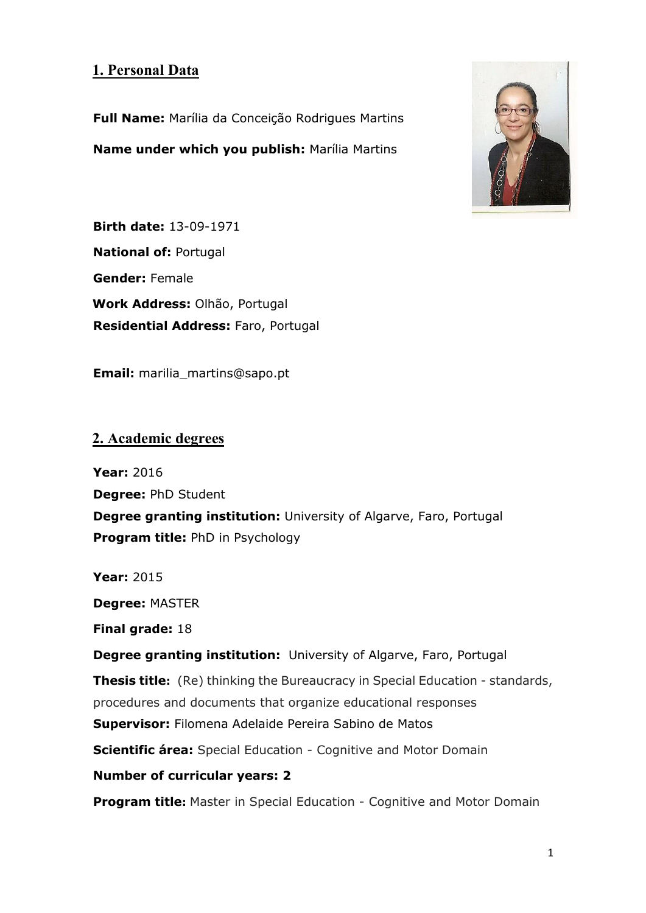# **1. Personal Data**

**Full Name:** Marília da Conceição Rodrigues Martins **Name under which you publish:** Marília Martins



**Birth date:** 13-09-1971 **National of:** Portugal **Gender:** Female **Work Address:** Olhão, Portugal **Residential Address:** Faro, Portugal

**Email:** marilia\_martins@sapo.pt

### **2. Academic degrees**

**Year:** 2016 **Degree:** PhD Student **Degree granting institution:** University of Algarve, Faro, Portugal **Program title:** PhD in Psychology

**Year:** 2015

**Degree:** MASTER

**Final grade:** 18

**Degree granting institution:** University of Algarve, Faro, Portugal

**Thesis title:** (Re) thinking the Bureaucracy in Special Education - standards,

procedures and documents that organize educational responses

**Supervisor:** Filomena Adelaide Pereira Sabino de Matos

**Scientific área:** Special Education - Cognitive and Motor Domain

### **Number of curricular years: 2**

**Program title:** Master in Special Education - Cognitive and Motor Domain